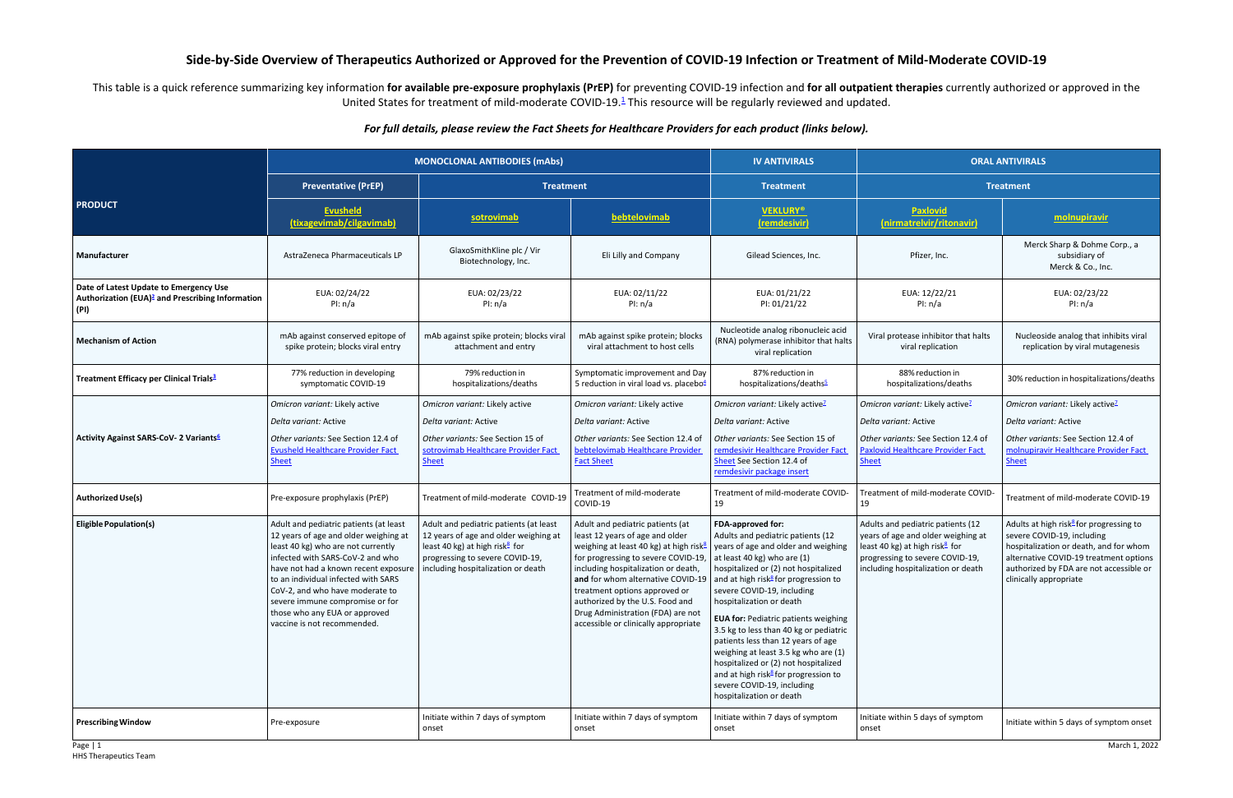HHS Therapeutics Team

## **Side-by-Side Overview of Therapeutics Authorized or Approved for the Prevention of COVID-19 Infection or Treatment of Mild-Moderate COVID-19**

This table is a quick reference summarizing key information for available pre-exposure prophylaxis (PrEP) for preventing COVID-19 infection and for all outpatient therapies currently authorized or approved in the United States for treatment of mild-moderate COVID-19.<sup>1</sup> This resource will be regularly reviewed and updated.

## *For full details, please review the Fact Sheets for Healthcare Providers for each product (links below).*

|                                                                                                                | <b>MONOCLONAL ANTIBODIES (mAbs)</b>                                                                                                                                                                                                                                                                                                                                           |                                                                                                                                                                                                        |                                                                                                                                                                                                                                                                                                                                                                                               | <b>IV ANTIVIRALS</b>                                                                                                                                                                                                                                                                                                                                                                                                                                                                                                                                                                                                   | <b>ORAL ANTIVIRALS</b>                                                                                                                                                                         |                                                                                                                                                                                                                                            |
|----------------------------------------------------------------------------------------------------------------|-------------------------------------------------------------------------------------------------------------------------------------------------------------------------------------------------------------------------------------------------------------------------------------------------------------------------------------------------------------------------------|--------------------------------------------------------------------------------------------------------------------------------------------------------------------------------------------------------|-----------------------------------------------------------------------------------------------------------------------------------------------------------------------------------------------------------------------------------------------------------------------------------------------------------------------------------------------------------------------------------------------|------------------------------------------------------------------------------------------------------------------------------------------------------------------------------------------------------------------------------------------------------------------------------------------------------------------------------------------------------------------------------------------------------------------------------------------------------------------------------------------------------------------------------------------------------------------------------------------------------------------------|------------------------------------------------------------------------------------------------------------------------------------------------------------------------------------------------|--------------------------------------------------------------------------------------------------------------------------------------------------------------------------------------------------------------------------------------------|
|                                                                                                                | <b>Preventative (PrEP)</b>                                                                                                                                                                                                                                                                                                                                                    | <b>Treatment</b>                                                                                                                                                                                       |                                                                                                                                                                                                                                                                                                                                                                                               | <b>Treatment</b>                                                                                                                                                                                                                                                                                                                                                                                                                                                                                                                                                                                                       | <b>Treatment</b>                                                                                                                                                                               |                                                                                                                                                                                                                                            |
| <b>PRODUCT</b>                                                                                                 | Evusheld<br>(tixagevimab/cilgavimab)                                                                                                                                                                                                                                                                                                                                          | <b>sotrovimab</b>                                                                                                                                                                                      | bebtelovimab                                                                                                                                                                                                                                                                                                                                                                                  | <b>VEKLURY®</b><br>(remdesivir)                                                                                                                                                                                                                                                                                                                                                                                                                                                                                                                                                                                        | Paxlovid<br>(nirmatrelvir/ritonavir)                                                                                                                                                           | molnupiravir                                                                                                                                                                                                                               |
| Manufacturer                                                                                                   | AstraZeneca Pharmaceuticals LP                                                                                                                                                                                                                                                                                                                                                | GlaxoSmithKline plc / Vir<br>Biotechnology, Inc.                                                                                                                                                       | Eli Lilly and Company                                                                                                                                                                                                                                                                                                                                                                         | Gilead Sciences, Inc.                                                                                                                                                                                                                                                                                                                                                                                                                                                                                                                                                                                                  | Pfizer, Inc.                                                                                                                                                                                   | Merck Sharp & Dohme Corp., a<br>subsidiary of<br>Merck & Co., Inc.                                                                                                                                                                         |
| Date of Latest Update to Emergency Use<br>Authorization (EUA) <sup>2</sup> and Prescribing Information<br>(PI) | EUA: 02/24/22<br>PI: $n/a$                                                                                                                                                                                                                                                                                                                                                    | EUA: 02/23/22<br>PI: $n/a$                                                                                                                                                                             | EUA: 02/11/22<br>PI: $n/a$                                                                                                                                                                                                                                                                                                                                                                    | EUA: 01/21/22<br>PI: 01/21/22                                                                                                                                                                                                                                                                                                                                                                                                                                                                                                                                                                                          | EUA: 12/22/21<br>PI: $n/a$                                                                                                                                                                     | EUA: 02/23/22<br>PI: $n/a$                                                                                                                                                                                                                 |
| <b>Mechanism of Action</b>                                                                                     | mAb against conserved epitope of<br>spike protein; blocks viral entry                                                                                                                                                                                                                                                                                                         | mAb against spike protein; blocks viral<br>attachment and entry                                                                                                                                        | mAb against spike protein; blocks<br>viral attachment to host cells                                                                                                                                                                                                                                                                                                                           | Nucleotide analog ribonucleic acid<br>(RNA) polymerase inhibitor that halts<br>viral replication                                                                                                                                                                                                                                                                                                                                                                                                                                                                                                                       | Viral protease inhibitor that halts<br>viral replication                                                                                                                                       | Nucleoside analog that inhibits viral<br>replication by viral mutagenesis                                                                                                                                                                  |
| Treatment Efficacy per Clinical Trials <sup>3</sup>                                                            | 77% reduction in developing<br>symptomatic COVID-19                                                                                                                                                                                                                                                                                                                           | 79% reduction in<br>hospitalizations/deaths                                                                                                                                                            | Symptomatic improvement and Day<br>5 reduction in viral load vs. placebo $4$                                                                                                                                                                                                                                                                                                                  | 87% reduction in<br>hospitalizations/deaths <sup>5</sup>                                                                                                                                                                                                                                                                                                                                                                                                                                                                                                                                                               | 88% reduction in<br>hospitalizations/deaths                                                                                                                                                    | 30% reduction in hospitalizations/deaths                                                                                                                                                                                                   |
| Activity Against SARS-CoV- 2 Variants <sup>6</sup>                                                             | Omicron variant: Likely active<br>Delta variant: Active<br>Other variants: See Section 12.4 of<br><b>Evusheld Healthcare Provider Fact</b><br>Sheet                                                                                                                                                                                                                           | Omicron variant: Likely active<br>Delta variant: Active<br>Other variants: See Section 15 of<br>sotrovimab Healthcare Provider Fact<br><b>Sheet</b>                                                    | Omicron variant: Likely active<br>Delta variant: Active<br>Other variants: See Section 12.4 of<br>bebtelovimab Healthcare Provider<br>Fact Sheet                                                                                                                                                                                                                                              | Omicron variant: Likely active <sup>7</sup><br>Delta variant: Active<br>Other variants: See Section 15 of<br>remdesivir Healthcare Provider Fact<br>Sheet See Section 12.4 of<br>remdesivir package insert                                                                                                                                                                                                                                                                                                                                                                                                             | Omicron variant: Likely active <sup>7</sup><br>Delta variant: Active<br>Other variants: See Section 12.4 of<br><b>Paxlovid Healthcare Provider Fact</b><br><b>Sheet</b>                        | Omicron variant: Likely active <sup>2</sup><br>Delta variant: Active<br>Other variants: See Section 12.4 of<br>molnupiravir Healthcare Provider Fact<br><b>Sheet</b>                                                                       |
| <b>Authorized Use(s)</b>                                                                                       | Pre-exposure prophylaxis (PrEP)                                                                                                                                                                                                                                                                                                                                               | Treatment of mild-moderate COVID-19                                                                                                                                                                    | Treatment of mild-moderate<br>COVID-19                                                                                                                                                                                                                                                                                                                                                        | Treatment of mild-moderate COVID-<br>19                                                                                                                                                                                                                                                                                                                                                                                                                                                                                                                                                                                | Treatment of mild-moderate COVID-<br>19                                                                                                                                                        | Treatment of mild-moderate COVID-19                                                                                                                                                                                                        |
| <b>Eligible Population(s)</b>                                                                                  | Adult and pediatric patients (at least<br>12 years of age and older weighing at<br>least 40 kg) who are not currently<br>infected with SARS-CoV-2 and who<br>have not had a known recent exposur<br>to an individual infected with SARS<br>CoV-2, and who have moderate to<br>severe immune compromise or for<br>those who any EUA or approved<br>vaccine is not recommended. | Adult and pediatric patients (at least<br>12 years of age and older weighing at<br>least 40 kg) at high risk <sup>8</sup> for<br>progressing to severe COVID-19,<br>including hospitalization or death | Adult and pediatric patients (at<br>least 12 years of age and older<br>weighing at least 40 kg) at high risk <sup>8</sup><br>for progressing to severe COVID-19,<br>including hospitalization or death,<br>and for whom alternative COVID-19<br>treatment options approved or<br>authorized by the U.S. Food and<br>Drug Administration (FDA) are not<br>accessible or clinically appropriate | <b>FDA-approved for:</b><br>Adults and pediatric patients (12<br>years of age and older and weighing<br>at least 40 kg) who are (1)<br>hospitalized or (2) not hospitalized<br>and at high risk <sup>8</sup> for progression to<br>severe COVID-19, including<br>hospitalization or death<br><b>EUA for: Pediatric patients weighing</b><br>3.5 kg to less than 40 kg or pediatric<br>patients less than 12 years of age<br>weighing at least 3.5 kg who are (1)<br>hospitalized or (2) not hospitalized<br>and at high risk <sup>8</sup> for progression to<br>severe COVID-19, including<br>hospitalization or death | Adults and pediatric patients (12<br>years of age and older weighing at<br>least 40 kg) at high risk <sup>8</sup> for<br>progressing to severe COVID-19,<br>including hospitalization or death | Adults at high risk <sup>8</sup> for progressing to<br>severe COVID-19, including<br>hospitalization or death, and for whom<br>alternative COVID-19 treatment options<br>authorized by FDA are not accessible or<br>clinically appropriate |
| <b>Prescribing Window</b>                                                                                      | Pre-exposure                                                                                                                                                                                                                                                                                                                                                                  | Initiate within 7 days of symptom<br>onset                                                                                                                                                             | Initiate within 7 days of symptom<br>onset                                                                                                                                                                                                                                                                                                                                                    | Initiate within 7 days of symptom<br>onset                                                                                                                                                                                                                                                                                                                                                                                                                                                                                                                                                                             | Initiate within 5 days of symptom<br>onset                                                                                                                                                     | Initiate within 5 days of symptom onset                                                                                                                                                                                                    |
| Page   1                                                                                                       |                                                                                                                                                                                                                                                                                                                                                                               |                                                                                                                                                                                                        |                                                                                                                                                                                                                                                                                                                                                                                               |                                                                                                                                                                                                                                                                                                                                                                                                                                                                                                                                                                                                                        |                                                                                                                                                                                                | March 1, 2022                                                                                                                                                                                                                              |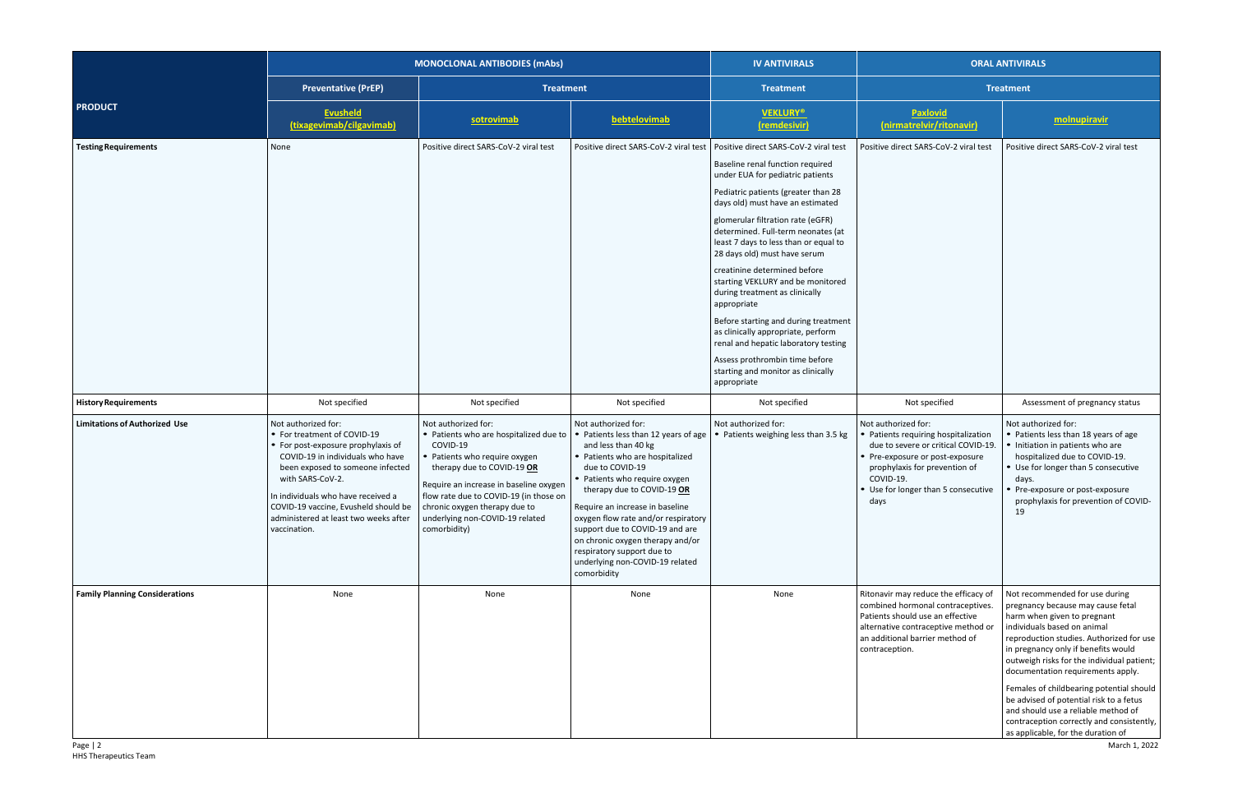|                                                   | <b>MONOCLONAL ANTIBODIES (mAbs)</b>                                                                                                                                                                                                                                                                                         |                                                                                                                                                                                                                                                                                                                  |                                                                                                                                                                                                                                                                                                                                                                                                                                          | <b>IV ANTIVIRALS</b>                                                                                                                                                                                                                                                                                                                                                                                                                                                                                                                                                                                                                                                            | <b>ORAL ANTIVIRALS</b>                                                                                                                                                                                                         |                                                                                                                                                                                                                                                                                                                                                                                                                                                                                                                                           |
|---------------------------------------------------|-----------------------------------------------------------------------------------------------------------------------------------------------------------------------------------------------------------------------------------------------------------------------------------------------------------------------------|------------------------------------------------------------------------------------------------------------------------------------------------------------------------------------------------------------------------------------------------------------------------------------------------------------------|------------------------------------------------------------------------------------------------------------------------------------------------------------------------------------------------------------------------------------------------------------------------------------------------------------------------------------------------------------------------------------------------------------------------------------------|---------------------------------------------------------------------------------------------------------------------------------------------------------------------------------------------------------------------------------------------------------------------------------------------------------------------------------------------------------------------------------------------------------------------------------------------------------------------------------------------------------------------------------------------------------------------------------------------------------------------------------------------------------------------------------|--------------------------------------------------------------------------------------------------------------------------------------------------------------------------------------------------------------------------------|-------------------------------------------------------------------------------------------------------------------------------------------------------------------------------------------------------------------------------------------------------------------------------------------------------------------------------------------------------------------------------------------------------------------------------------------------------------------------------------------------------------------------------------------|
|                                                   | <b>Preventative (PrEP)</b>                                                                                                                                                                                                                                                                                                  | <b>Treatment</b>                                                                                                                                                                                                                                                                                                 |                                                                                                                                                                                                                                                                                                                                                                                                                                          | <b>Treatment</b>                                                                                                                                                                                                                                                                                                                                                                                                                                                                                                                                                                                                                                                                | <b>Treatment</b>                                                                                                                                                                                                               |                                                                                                                                                                                                                                                                                                                                                                                                                                                                                                                                           |
| <b>PRODUCT</b>                                    | <b>Evusheld</b><br>(tixagevimab/cilgavimab)                                                                                                                                                                                                                                                                                 | sotrovimab                                                                                                                                                                                                                                                                                                       | bebtelovimab                                                                                                                                                                                                                                                                                                                                                                                                                             | <b>VEKLURY®</b><br>(remdesivir)                                                                                                                                                                                                                                                                                                                                                                                                                                                                                                                                                                                                                                                 | Paxlovid<br>(nirmatrelvir/ritonavir)                                                                                                                                                                                           | molnupiravir                                                                                                                                                                                                                                                                                                                                                                                                                                                                                                                              |
| <b>Testing Requirements</b>                       | None                                                                                                                                                                                                                                                                                                                        | Positive direct SARS-CoV-2 viral test                                                                                                                                                                                                                                                                            | Positive direct SARS-CoV-2 viral test                                                                                                                                                                                                                                                                                                                                                                                                    | Positive direct SARS-CoV-2 viral test<br>Baseline renal function required<br>under EUA for pediatric patients<br>Pediatric patients (greater than 28<br>days old) must have an estimated<br>glomerular filtration rate (eGFR)<br>determined. Full-term neonates (at<br>least 7 days to less than or equal to<br>28 days old) must have serum<br>creatinine determined before<br>starting VEKLURY and be monitored<br>during treatment as clinically<br>appropriate<br>Before starting and during treatment<br>as clinically appropriate, perform<br>renal and hepatic laboratory testing<br>Assess prothrombin time before<br>starting and monitor as clinically<br>appropriate | Positive direct SARS-CoV-2 viral test                                                                                                                                                                                          | Positive direct SARS-CoV-2 viral test                                                                                                                                                                                                                                                                                                                                                                                                                                                                                                     |
| <b>History Requirements</b>                       | Not specified                                                                                                                                                                                                                                                                                                               | Not specified                                                                                                                                                                                                                                                                                                    | Not specified                                                                                                                                                                                                                                                                                                                                                                                                                            | Not specified                                                                                                                                                                                                                                                                                                                                                                                                                                                                                                                                                                                                                                                                   | Not specified                                                                                                                                                                                                                  | Assessment of pregnancy status                                                                                                                                                                                                                                                                                                                                                                                                                                                                                                            |
| <b>Limitations of Authorized Use</b>              | Not authorized for:<br>• For treatment of COVID-19<br>• For post-exposure prophylaxis of<br>COVID-19 in individuals who have<br>been exposed to someone infected<br>with SARS-CoV-2.<br>In individuals who have received a<br>COVID-19 vaccine, Evusheld should be<br>administered at least two weeks after<br>vaccination. | Not authorized for:<br>• Patients who are hospitalized due to<br>COVID-19<br>• Patients who require oxygen<br>therapy due to COVID-19 OR<br>Require an increase in baseline oxygen<br>flow rate due to COVID-19 (in those on<br>chronic oxygen therapy due to<br>underlying non-COVID-19 related<br>comorbidity) | Not authorized for:<br>• Patients less than 12 years of age<br>and less than 40 kg<br>• Patients who are hospitalized<br>due to COVID-19<br>• Patients who require oxygen<br>therapy due to COVID-19 OR<br>Require an increase in baseline<br>oxygen flow rate and/or respiratory<br>support due to COVID-19 and are<br>on chronic oxygen therapy and/or<br>respiratory support due to<br>underlying non-COVID-19 related<br>comorbidity | Not authorized for:<br>• Patients weighing less than 3.5 kg                                                                                                                                                                                                                                                                                                                                                                                                                                                                                                                                                                                                                     | Not authorized for:<br>Patients requiring hospitalization<br>due to severe or critical COVID-19.<br>Pre-exposure or post-exposure<br>prophylaxis for prevention of<br>COVID-19.<br>• Use for longer than 5 consecutive<br>days | Not authorized for:<br>• Patients less than 18 years of age<br>Initiation in patients who are<br>hospitalized due to COVID-19.<br>Use for longer than 5 consecutive<br>days.<br>Pre-exposure or post-exposure<br>prophylaxis for prevention of COVID-<br>19                                                                                                                                                                                                                                                                               |
| <b>Family Planning Considerations</b><br>Page   2 | None                                                                                                                                                                                                                                                                                                                        | None                                                                                                                                                                                                                                                                                                             | None                                                                                                                                                                                                                                                                                                                                                                                                                                     | None                                                                                                                                                                                                                                                                                                                                                                                                                                                                                                                                                                                                                                                                            | Ritonavir may reduce the efficacy of<br>combined hormonal contraceptives.<br>Patients should use an effective<br>alternative contraceptive method or<br>an additional barrier method of<br>contraception.                      | Not recommended for use during<br>pregnancy because may cause fetal<br>harm when given to pregnant<br>individuals based on animal<br>reproduction studies. Authorized for use<br>in pregnancy only if benefits would<br>outweigh risks for the individual patient;<br>documentation requirements apply.<br>Females of childbearing potential should<br>be advised of potential risk to a fetus<br>and should use a reliable method of<br>contraception correctly and consistently,<br>as applicable, for the duration of<br>March 1, 2022 |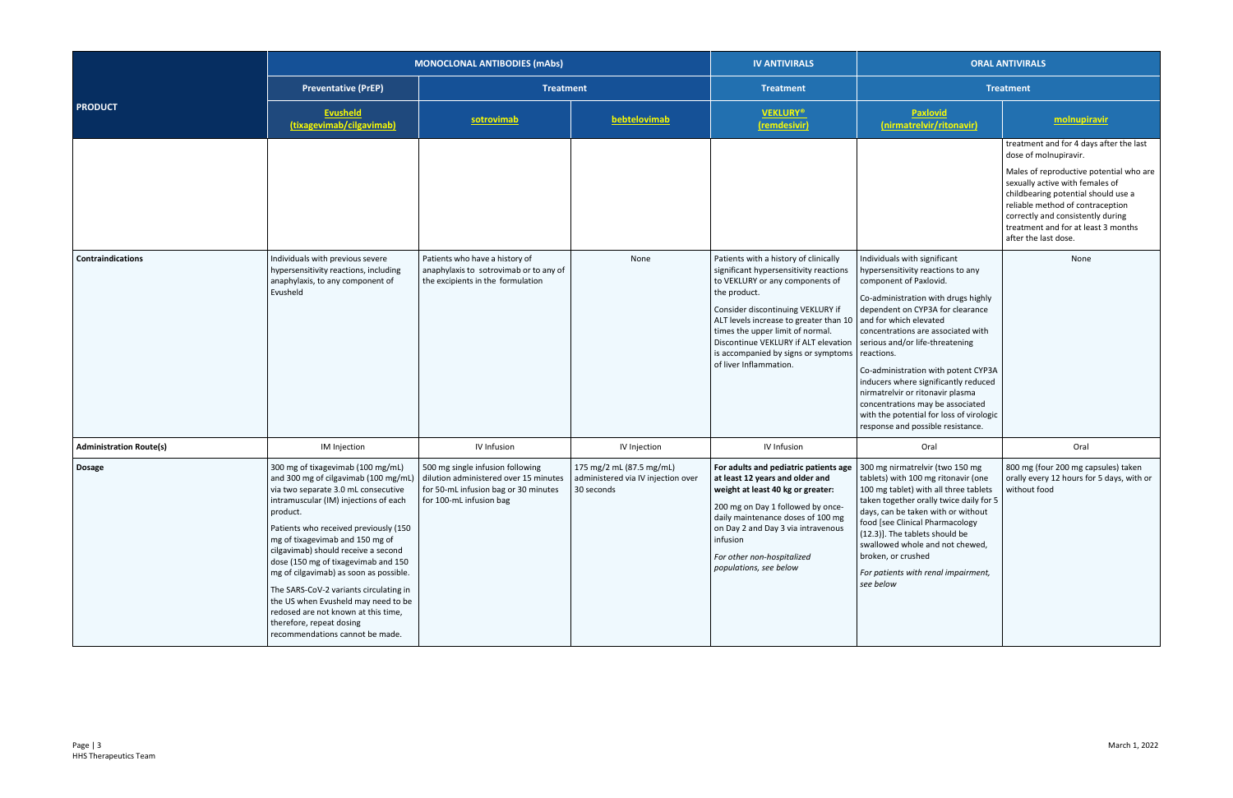|                                |                                                                                                                                                                                                                                                                                                                                                                                                                                                                                                                                                                  | <b>MONOCLONAL ANTIBODIES (mAbs)</b>                                                                                                          |                                                                              | <b>IV ANTIVIRALS</b><br><b>ORAL ANTIVIRALS</b>                                                                                                                                                                                                                                                                                                                 |                                                                                                                                                                                                                                                                                                                                                                                                                                                                                                                                 |                                                                                                                                                                                                                                                                                                                               |
|--------------------------------|------------------------------------------------------------------------------------------------------------------------------------------------------------------------------------------------------------------------------------------------------------------------------------------------------------------------------------------------------------------------------------------------------------------------------------------------------------------------------------------------------------------------------------------------------------------|----------------------------------------------------------------------------------------------------------------------------------------------|------------------------------------------------------------------------------|----------------------------------------------------------------------------------------------------------------------------------------------------------------------------------------------------------------------------------------------------------------------------------------------------------------------------------------------------------------|---------------------------------------------------------------------------------------------------------------------------------------------------------------------------------------------------------------------------------------------------------------------------------------------------------------------------------------------------------------------------------------------------------------------------------------------------------------------------------------------------------------------------------|-------------------------------------------------------------------------------------------------------------------------------------------------------------------------------------------------------------------------------------------------------------------------------------------------------------------------------|
|                                | <b>Preventative (PrEP)</b>                                                                                                                                                                                                                                                                                                                                                                                                                                                                                                                                       | <b>Treatment</b>                                                                                                                             |                                                                              | <b>Treatment</b>                                                                                                                                                                                                                                                                                                                                               | <b>Treatment</b>                                                                                                                                                                                                                                                                                                                                                                                                                                                                                                                |                                                                                                                                                                                                                                                                                                                               |
| <b>PRODUCT</b>                 | <b>Evusheld</b><br>(tixagevimab/cilgavimab)                                                                                                                                                                                                                                                                                                                                                                                                                                                                                                                      | sotrovimab                                                                                                                                   | bebtelovimab                                                                 | <b>VEKLURY®</b><br>(remdesivir)                                                                                                                                                                                                                                                                                                                                | <b>Paxlovid</b><br>(nirmatrelvir/ritonavir)                                                                                                                                                                                                                                                                                                                                                                                                                                                                                     | molnupiravir                                                                                                                                                                                                                                                                                                                  |
|                                |                                                                                                                                                                                                                                                                                                                                                                                                                                                                                                                                                                  |                                                                                                                                              |                                                                              |                                                                                                                                                                                                                                                                                                                                                                |                                                                                                                                                                                                                                                                                                                                                                                                                                                                                                                                 | treatment and for 4 days after the last<br>dose of molnupiravir.<br>Males of reproductive potential who are<br>sexually active with females of<br>childbearing potential should use a<br>reliable method of contraception<br>correctly and consistently during<br>treatment and for at least 3 months<br>after the last dose. |
| <b>Contraindications</b>       | Individuals with previous severe<br>hypersensitivity reactions, including<br>anaphylaxis, to any component of<br>Evusheld                                                                                                                                                                                                                                                                                                                                                                                                                                        | Patients who have a history of<br>anaphylaxis to sotrovimab or to any of<br>the excipients in the formulation                                | None                                                                         | Patients with a history of clinically<br>significant hypersensitivity reactions<br>to VEKLURY or any components of<br>the product.<br>Consider discontinuing VEKLURY if<br>ALT levels increase to greater than 10<br>times the upper limit of normal.<br>Discontinue VEKLURY if ALT elevation<br>is accompanied by signs or symptoms<br>of liver Inflammation. | Individuals with significant<br>hypersensitivity reactions to any<br>component of Paxlovid.<br>Co-administration with drugs highly<br>dependent on CYP3A for clearance<br>and for which elevated<br>concentrations are associated with<br>serious and/or life-threatening<br>reactions.<br>Co-administration with potent CYP3A<br>inducers where significantly reduced<br>nirmatrelvir or ritonavir plasma<br>concentrations may be associated<br>with the potential for loss of virologic<br>response and possible resistance. | None                                                                                                                                                                                                                                                                                                                          |
| <b>Administration Route(s)</b> | IM Injection                                                                                                                                                                                                                                                                                                                                                                                                                                                                                                                                                     | IV Infusion                                                                                                                                  | IV Injection                                                                 | IV Infusion                                                                                                                                                                                                                                                                                                                                                    | Oral                                                                                                                                                                                                                                                                                                                                                                                                                                                                                                                            | Oral                                                                                                                                                                                                                                                                                                                          |
| <b>Dosage</b>                  | 300 mg of tixagevimab (100 mg/mL)<br>and 300 mg of cilgavimab (100 mg/mL)<br>via two separate 3.0 mL consecutive<br>intramuscular (IM) injections of each<br>product.<br>Patients who received previously (150<br>mg of tixagevimab and 150 mg of<br>cilgavimab) should receive a second<br>dose (150 mg of tixagevimab and 150<br>mg of cilgavimab) as soon as possible.<br>The SARS-CoV-2 variants circulating in<br>the US when Evusheld may need to be<br>redosed are not known at this time,<br>therefore, repeat dosing<br>recommendations cannot be made. | 500 mg single infusion following<br>dilution administered over 15 minutes<br>for 50-mL infusion bag or 30 minutes<br>for 100-mL infusion bag | 175 mg/2 mL (87.5 mg/mL)<br>administered via IV injection over<br>30 seconds | For adults and pediatric patients age<br>at least 12 years and older and<br>weight at least 40 kg or greater:<br>200 mg on Day 1 followed by once-<br>daily maintenance doses of 100 mg<br>on Day 2 and Day 3 via intravenous<br>infusion<br>For other non-hospitalized<br>populations, see below                                                              | 300 mg nirmatrelvir (two 150 mg<br>tablets) with 100 mg ritonavir (one<br>100 mg tablet) with all three tablets<br>taken together orally twice daily for 5<br>days, can be taken with or without<br>food [see Clinical Pharmacology<br>(12.3)]. The tablets should be<br>swallowed whole and not chewed,<br>broken, or crushed<br>For patients with renal impairment,<br>see below                                                                                                                                              | 800 mg (four 200 mg capsules) taken<br>orally every 12 hours for 5 days, with or<br>without food                                                                                                                                                                                                                              |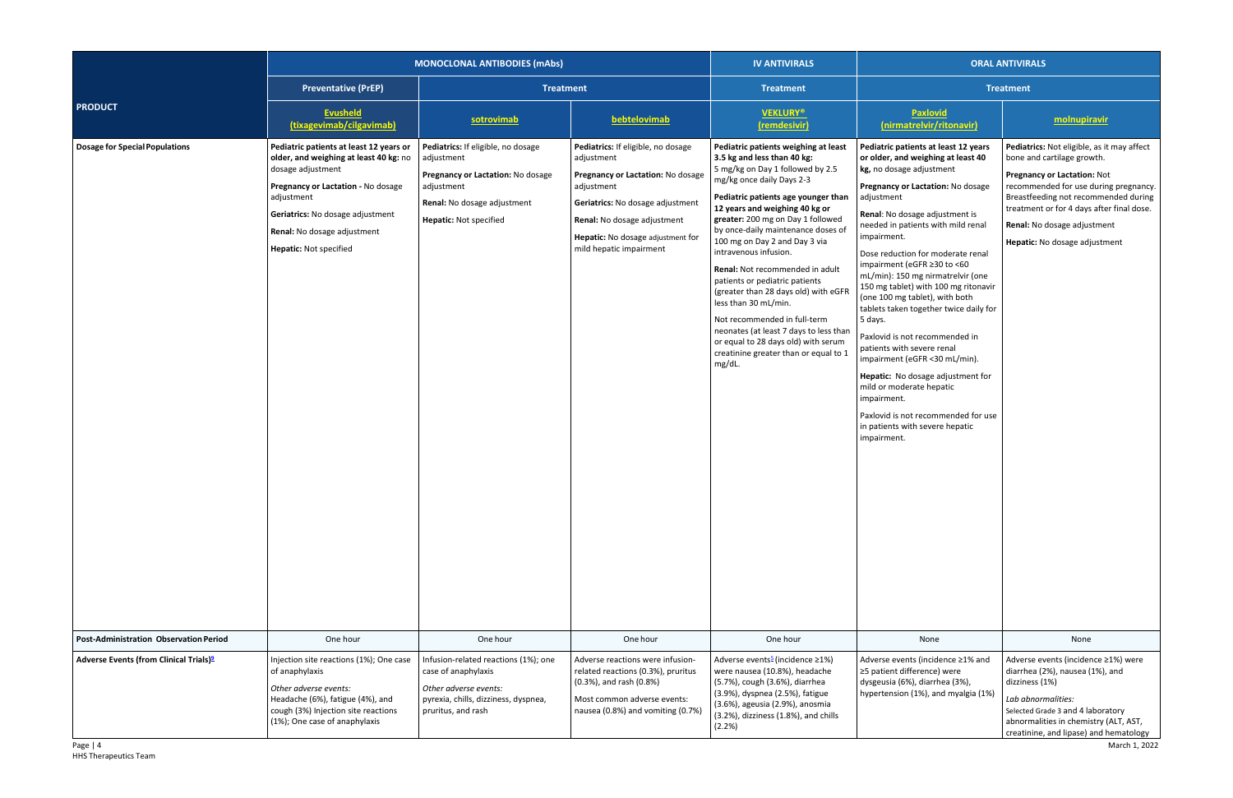|                                                                | <b>MONOCLONAL ANTIBODIES (mAbs)</b>                                                                                                                                                                                                                     |                                                                                                                                                              |                                                                                                                                                                                                                                        | <b>IV ANTIVIRALS</b>                                                                                                                                                                                                                                                                                                                                                                                                                                                                                                                                                                                                                                        |                                                                                                                                                                                                                                                                                                                                                                                                                                                                                                                                                                                                                                                                                                                                                                    | <b>ORAL ANTIVIRALS</b>                                                                                                                                                                                                                                                                                       |  |
|----------------------------------------------------------------|---------------------------------------------------------------------------------------------------------------------------------------------------------------------------------------------------------------------------------------------------------|--------------------------------------------------------------------------------------------------------------------------------------------------------------|----------------------------------------------------------------------------------------------------------------------------------------------------------------------------------------------------------------------------------------|-------------------------------------------------------------------------------------------------------------------------------------------------------------------------------------------------------------------------------------------------------------------------------------------------------------------------------------------------------------------------------------------------------------------------------------------------------------------------------------------------------------------------------------------------------------------------------------------------------------------------------------------------------------|--------------------------------------------------------------------------------------------------------------------------------------------------------------------------------------------------------------------------------------------------------------------------------------------------------------------------------------------------------------------------------------------------------------------------------------------------------------------------------------------------------------------------------------------------------------------------------------------------------------------------------------------------------------------------------------------------------------------------------------------------------------------|--------------------------------------------------------------------------------------------------------------------------------------------------------------------------------------------------------------------------------------------------------------------------------------------------------------|--|
|                                                                | <b>Preventative (PrEP)</b><br><b>Treatment</b>                                                                                                                                                                                                          |                                                                                                                                                              | <b>Treatment</b>                                                                                                                                                                                                                       | <b>Treatment</b>                                                                                                                                                                                                                                                                                                                                                                                                                                                                                                                                                                                                                                            |                                                                                                                                                                                                                                                                                                                                                                                                                                                                                                                                                                                                                                                                                                                                                                    |                                                                                                                                                                                                                                                                                                              |  |
| <b>PRODUCT</b>                                                 | <b>Evusheld</b><br>(tixagevimab/cilgavimab)                                                                                                                                                                                                             | sotrovimab                                                                                                                                                   | bebtelovimab                                                                                                                                                                                                                           | <b>VEKLURY®</b><br>(remdesivir)                                                                                                                                                                                                                                                                                                                                                                                                                                                                                                                                                                                                                             | <b>Paxlovid</b><br>(nirmatrelvir/ritonavir)                                                                                                                                                                                                                                                                                                                                                                                                                                                                                                                                                                                                                                                                                                                        | molnupiravir                                                                                                                                                                                                                                                                                                 |  |
| <b>Dosage for Special Populations</b>                          | Pediatric patients at least 12 years or<br>older, and weighing at least 40 kg: no<br>dosage adjustment<br>Pregnancy or Lactation - No dosage<br>adjustment<br>Geriatrics: No dosage adjustment<br>Renal: No dosage adjustment<br>Hepatic: Not specified | Pediatrics: If eligible, no dosage<br>adjustment<br>Pregnancy or Lactation: No dosage<br>adjustment<br>Renal: No dosage adjustment<br>Hepatic: Not specified | Pediatrics: If eligible, no dosage<br>adjustment<br>Pregnancy or Lactation: No dosage<br>adjustment<br>Geriatrics: No dosage adjustment<br>Renal: No dosage adjustment<br>Hepatic: No dosage adjustment for<br>mild hepatic impairment | Pediatric patients weighing at least<br>3.5 kg and less than 40 kg:<br>5 mg/kg on Day 1 followed by 2.5<br>mg/kg once daily Days 2-3<br>Pediatric patients age younger than<br>12 years and weighing 40 kg or<br>greater: 200 mg on Day 1 followed<br>by once-daily maintenance doses of<br>100 mg on Day 2 and Day 3 via<br>intravenous infusion.<br>Renal: Not recommended in adult<br>patients or pediatric patients<br>(greater than 28 days old) with eGFR<br>less than 30 mL/min.<br>Not recommended in full-term<br>neonates (at least 7 days to less thar<br>or equal to 28 days old) with serum<br>creatinine greater than or equal to 1<br>mg/dL. | Pediatric patients at least 12 years<br>or older, and weighing at least 40<br>kg, no dosage adjustment<br>Pregnancy or Lactation: No dosage<br>adjustment<br>Renal: No dosage adjustment is<br>needed in patients with mild renal<br>impairment.<br>Dose reduction for moderate renal<br>impairment (eGFR ≥30 to <60<br>mL/min): 150 mg nirmatrelvir (one<br>150 mg tablet) with 100 mg ritonavir<br>(one 100 mg tablet), with both<br>tablets taken together twice daily for<br>5 days.<br>Paxlovid is not recommended in<br>patients with severe renal<br>impairment (eGFR <30 mL/min).<br>Hepatic: No dosage adjustment for<br>mild or moderate hepatic<br>impairment.<br>Paxlovid is not recommended for use<br>in patients with severe hepatic<br>impairment. | Pediatrics: Not eligible, as it may affect<br>bone and cartilage growth.<br><b>Pregnancy or Lactation: Not</b><br>recommended for use during pregnancy.<br>Breastfeeding not recommended during<br>treatment or for 4 days after final dose.<br>Renal: No dosage adjustment<br>Hepatic: No dosage adjustment |  |
| <b>Post-Administration Observation Period</b>                  | One hour                                                                                                                                                                                                                                                | One hour                                                                                                                                                     | One hour                                                                                                                                                                                                                               | One hour                                                                                                                                                                                                                                                                                                                                                                                                                                                                                                                                                                                                                                                    | None                                                                                                                                                                                                                                                                                                                                                                                                                                                                                                                                                                                                                                                                                                                                                               | None                                                                                                                                                                                                                                                                                                         |  |
| Adverse Events (from Clinical Trials) <sup>2</sup><br>Page   4 | Injection site reactions (1%); One case<br>of anaphylaxis<br>Other adverse events:<br>Headache (6%), fatigue (4%), and<br>cough (3%) Injection site reactions<br>(1%); One case of anaphylaxis                                                          | Infusion-related reactions (1%); one<br>case of anaphylaxis<br>Other adverse events:<br>pyrexia, chills, dizziness, dyspnea,<br>pruritus, and rash           | Adverse reactions were infusion-<br>related reactions (0.3%), pruritus<br>(0.3%), and rash (0.8%)<br>Most common adverse events:<br>nausea (0.8%) and vomiting (0.7%)                                                                  | Adverse events <sup>5</sup> (incidence ≥1%)<br>were nausea (10.8%), headache<br>(5.7%), cough (3.6%), diarrhea<br>(3.9%), dyspnea (2.5%), fatigue<br>(3.6%), ageusia (2.9%), anosmia<br>(3.2%), dizziness (1.8%), and chills<br>(2.2%)                                                                                                                                                                                                                                                                                                                                                                                                                      | Adverse events (incidence ≥1% and<br>≥5 patient difference) were<br>dysgeusia (6%), diarrhea (3%),<br>hypertension (1%), and myalgia (1%)                                                                                                                                                                                                                                                                                                                                                                                                                                                                                                                                                                                                                          | Adverse events (incidence ≥1%) were<br>diarrhea (2%), nausea (1%), and<br>dizziness (1%)<br>Lab abnormalities:<br>Selected Grade 3 and 4 laboratory<br>abnormalities in chemistry (ALT, AST,<br>creatinine, and lipase) and hematology<br>March 1, 2022                                                      |  |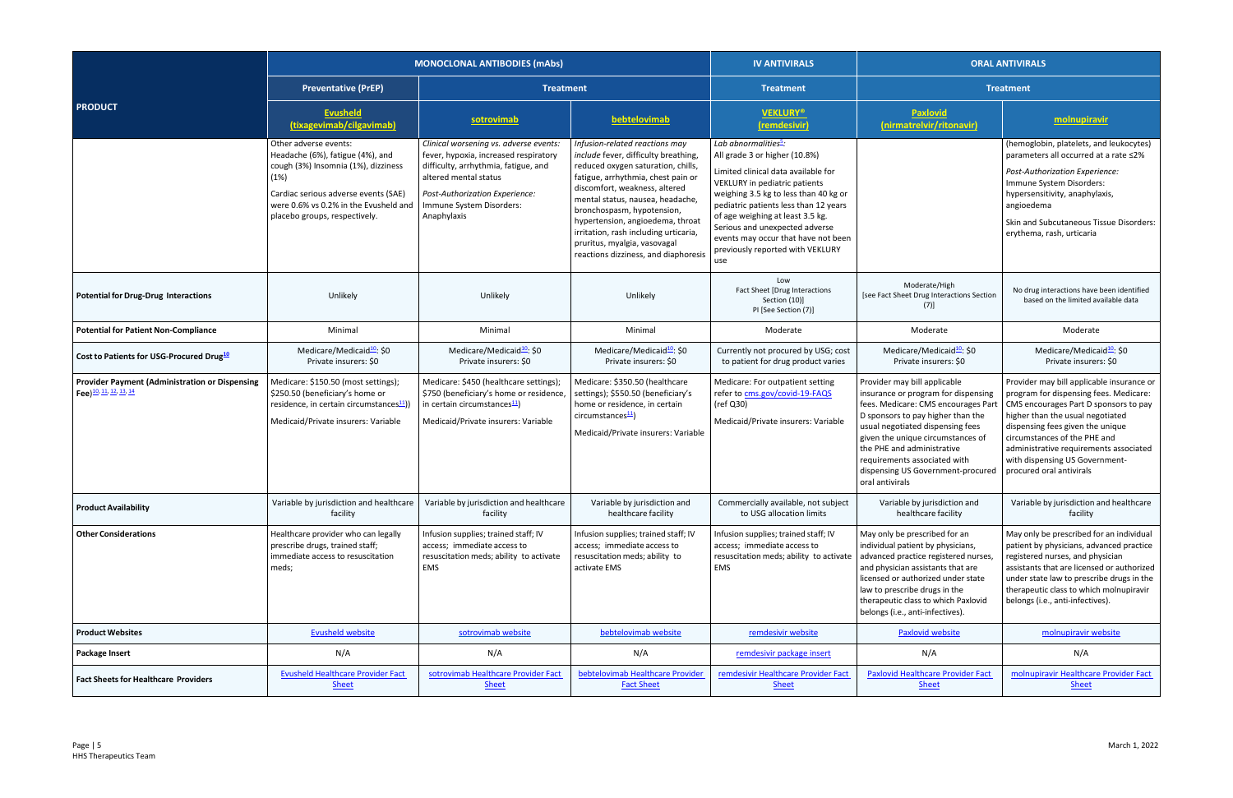|                                                                                             |                                                                                                                                                                                                                            | <b>MONOCLONAL ANTIBODIES (mAbs)</b>                                                                                                                                                                                           |                                                                                                                                                                                                                                                                                                                                                                                                            | <b>IV ANTIVIRALS</b>                                                                                                                                                                                                                                                                                                                                                                | <b>ORAL ANTIVIRALS</b>                                                                                                                                                                                                                                                                                                                        |                                                                                                                                                                                                                                                                                                                                              |
|---------------------------------------------------------------------------------------------|----------------------------------------------------------------------------------------------------------------------------------------------------------------------------------------------------------------------------|-------------------------------------------------------------------------------------------------------------------------------------------------------------------------------------------------------------------------------|------------------------------------------------------------------------------------------------------------------------------------------------------------------------------------------------------------------------------------------------------------------------------------------------------------------------------------------------------------------------------------------------------------|-------------------------------------------------------------------------------------------------------------------------------------------------------------------------------------------------------------------------------------------------------------------------------------------------------------------------------------------------------------------------------------|-----------------------------------------------------------------------------------------------------------------------------------------------------------------------------------------------------------------------------------------------------------------------------------------------------------------------------------------------|----------------------------------------------------------------------------------------------------------------------------------------------------------------------------------------------------------------------------------------------------------------------------------------------------------------------------------------------|
|                                                                                             | <b>Preventative (PrEP)</b>                                                                                                                                                                                                 | <b>Treatment</b>                                                                                                                                                                                                              |                                                                                                                                                                                                                                                                                                                                                                                                            | <b>Treatment</b>                                                                                                                                                                                                                                                                                                                                                                    |                                                                                                                                                                                                                                                                                                                                               | <b>Treatment</b>                                                                                                                                                                                                                                                                                                                             |
| <b>PRODUCT</b>                                                                              | <b>Evusheld</b><br>(tixagevimab/cilgavimab)                                                                                                                                                                                | sotrovimab                                                                                                                                                                                                                    | bebtelovimab                                                                                                                                                                                                                                                                                                                                                                                               | <b>VEKLURY®</b><br>(remdesivir)                                                                                                                                                                                                                                                                                                                                                     | Paxlovid<br>(nirmatrelvir/ritonavir)                                                                                                                                                                                                                                                                                                          | molnupiravir                                                                                                                                                                                                                                                                                                                                 |
|                                                                                             | Other adverse events:<br>Headache (6%), fatigue (4%), and<br>cough (3%) Insomnia (1%), dizziness<br>(1%)<br>Cardiac serious adverse events (SAE)<br>were 0.6% vs 0.2% in the Evusheld and<br>placebo groups, respectively. | Clinical worsening vs. adverse events:<br>fever, hypoxia, increased respiratory<br>difficulty, arrhythmia, fatigue, and<br>altered mental status<br>Post-Authorization Experience:<br>Immune System Disorders:<br>Anaphylaxis | Infusion-related reactions may<br>include fever, difficulty breathing,<br>reduced oxygen saturation, chills,<br>fatigue, arrhythmia, chest pain or<br>discomfort, weakness, altered<br>mental status, nausea, headache,<br>bronchospasm, hypotension,<br>hypertension, angioedema, throat<br>irritation, rash including urticaria,<br>pruritus, myalgia, vasovagal<br>reactions dizziness, and diaphoresis | Lab abnormalities <sup>5</sup> :<br>All grade 3 or higher (10.8%)<br>Limited clinical data available for<br>VEKLURY in pediatric patients<br>weighing 3.5 kg to less than 40 kg or<br>pediatric patients less than 12 years<br>of age weighing at least 3.5 kg.<br>Serious and unexpected adverse<br>events may occur that have not been<br>previously reported with VEKLURY<br>use |                                                                                                                                                                                                                                                                                                                                               | (hemoglobin, platelets, and leukocytes)<br>parameters all occurred at a rate ≤2%<br><b>Post-Authorization Experience:</b><br>Immune System Disorders:<br>hypersensitivity, anaphylaxis,<br>angioedema<br>Skin and Subcutaneous Tissue Disorders:<br>erythema, rash, urticaria                                                                |
| <b>Potential for Drug-Drug Interactions</b>                                                 | Unlikely                                                                                                                                                                                                                   | Unlikely                                                                                                                                                                                                                      | Unlikely                                                                                                                                                                                                                                                                                                                                                                                                   | Low<br>Fact Sheet [Drug Interactions<br>Section (10)]<br>PI [See Section (7)]                                                                                                                                                                                                                                                                                                       | Moderate/High<br>[see Fact Sheet Drug Interactions Section<br>(7)]                                                                                                                                                                                                                                                                            | No drug interactions have been identified<br>based on the limited available data                                                                                                                                                                                                                                                             |
| <b>Potential for Patient Non-Compliance</b>                                                 | Minimal                                                                                                                                                                                                                    | Minimal                                                                                                                                                                                                                       | Minimal                                                                                                                                                                                                                                                                                                                                                                                                    | Moderate                                                                                                                                                                                                                                                                                                                                                                            | Moderate                                                                                                                                                                                                                                                                                                                                      | Moderate                                                                                                                                                                                                                                                                                                                                     |
| Cost to Patients for USG-Procured Drug <sup>10</sup>                                        | Medicare/Medicaid <sup>10</sup> : \$0<br>Private insurers: \$0                                                                                                                                                             | Medicare/Medicaid <sup>10</sup> : \$0<br>Private insurers: \$0                                                                                                                                                                | Medicare/Medicaid <sup>10</sup> : \$0<br>Private insurers: \$0                                                                                                                                                                                                                                                                                                                                             | Currently not procured by USG; cost<br>to patient for drug product varies                                                                                                                                                                                                                                                                                                           | Medicare/Medicaid <sup>10</sup> : \$0<br>Private insurers: \$0                                                                                                                                                                                                                                                                                | Medicare/Medicaid <sup>10</sup> : \$0<br>Private insurers: \$0                                                                                                                                                                                                                                                                               |
| <b>Provider Payment (Administration or Dispensing</b><br>Fee) <sup>10, 11, 12, 13, 14</sup> | Medicare: \$150.50 (most settings);<br>\$250.50 (beneficiary's home or<br>residence, in certain circumstances <sup>11</sup> )<br>Medicaid/Private insurers: Variable                                                       | Medicare: \$450 (healthcare settings);<br>\$750 (beneficiary's home or residence,<br>in certain circumstances <sup>11</sup> )<br>Medicaid/Private insurers: Variable                                                          | Medicare: \$350.50 (healthcare<br>settings); \$550.50 (beneficiary's<br>home or residence, in certain<br>circumstances <sup>11</sup> )<br>Medicaid/Private insurers: Variable                                                                                                                                                                                                                              | Medicare: For outpatient setting<br>refer to cms.gov/covid-19-FAQS<br>(ref Q30)<br>Medicaid/Private insurers: Variable                                                                                                                                                                                                                                                              | Provider may bill applicable<br>insurance or program for dispensing<br>fees. Medicare: CMS encourages Par<br>D sponsors to pay higher than the<br>usual negotiated dispensing fees<br>given the unique circumstances of<br>the PHE and administrative<br>requirements associated with<br>dispensing US Government-procured<br>oral antivirals | Provider may bill applicable insurance or<br>program for dispensing fees. Medicare:<br>CMS encourages Part D sponsors to pay<br>higher than the usual negotiated<br>dispensing fees given the unique<br>circumstances of the PHE and<br>administrative requirements associated<br>with dispensing US Government-<br>procured oral antivirals |
| <b>Product Availability</b>                                                                 | Variable by jurisdiction and healthcare<br>facility                                                                                                                                                                        | Variable by jurisdiction and healthcare<br>facility                                                                                                                                                                           | Variable by jurisdiction and<br>healthcare facility                                                                                                                                                                                                                                                                                                                                                        | Commercially available, not subject<br>to USG allocation limits                                                                                                                                                                                                                                                                                                                     | Variable by jurisdiction and<br>healthcare facility                                                                                                                                                                                                                                                                                           | Variable by jurisdiction and healthcare<br>facility                                                                                                                                                                                                                                                                                          |
| <b>Other Considerations</b>                                                                 | Healthcare provider who can legally<br>prescribe drugs, trained staff;<br>immediate access to resuscitation<br>meds;                                                                                                       | Infusion supplies; trained staff; IV<br>access; immediate access to<br>resuscitation meds; ability to activate<br>EMS                                                                                                         | Infusion supplies; trained staff; IV<br>access; immediate access to<br>resuscitation meds; ability to<br>activate EMS                                                                                                                                                                                                                                                                                      | Infusion supplies; trained staff; IV<br>access; immediate access to<br>resuscitation meds; ability to activate<br>EMS                                                                                                                                                                                                                                                               | May only be prescribed for an<br>individual patient by physicians,<br>advanced practice registered nurses<br>and physician assistants that are<br>licensed or authorized under state<br>law to prescribe drugs in the<br>therapeutic class to which Paxlovid<br>belongs (i.e., anti-infectives).                                              | May only be prescribed for an individual<br>patient by physicians, advanced practice<br>registered nurses, and physician<br>assistants that are licensed or authorized<br>under state law to prescribe drugs in the<br>therapeutic class to which molnupiravir<br>belongs (i.e., anti-infectives).                                           |
| <b>Product Websites</b>                                                                     | <b>Evusheld website</b>                                                                                                                                                                                                    | sotrovimab website                                                                                                                                                                                                            | bebtelovimab website                                                                                                                                                                                                                                                                                                                                                                                       | remdesivir website                                                                                                                                                                                                                                                                                                                                                                  | <b>Paxlovid website</b>                                                                                                                                                                                                                                                                                                                       | molnupiravir website                                                                                                                                                                                                                                                                                                                         |
| <b>Package Insert</b>                                                                       | N/A                                                                                                                                                                                                                        | N/A                                                                                                                                                                                                                           | N/A                                                                                                                                                                                                                                                                                                                                                                                                        | remdesivir package insert                                                                                                                                                                                                                                                                                                                                                           | N/A                                                                                                                                                                                                                                                                                                                                           | N/A                                                                                                                                                                                                                                                                                                                                          |
| <b>Fact Sheets for Healthcare Providers</b>                                                 | <b>Evusheld Healthcare Provider Fact</b><br><b>Sheet</b>                                                                                                                                                                   | sotrovimab Healthcare Provider Fact<br><b>Sheet</b>                                                                                                                                                                           | bebtelovimab Healthcare Provider<br><b>Fact Sheet</b>                                                                                                                                                                                                                                                                                                                                                      | remdesivir Healthcare Provider Fact<br><b>Sheet</b>                                                                                                                                                                                                                                                                                                                                 | <b>Paxlovid Healthcare Provider Fact</b><br><b>Sheet</b>                                                                                                                                                                                                                                                                                      | molnupiravir Healthcare Provider Fact<br><b>Sheet</b>                                                                                                                                                                                                                                                                                        |